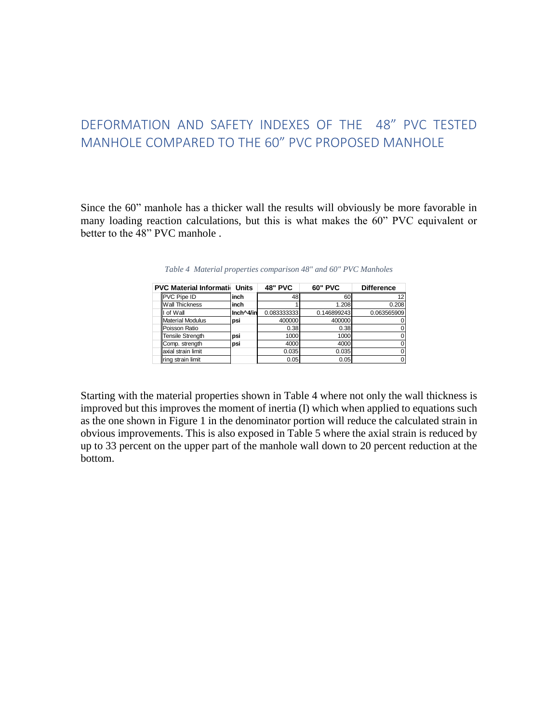## DEFORMATION AND SAFETY INDEXES OF THE 48" PVC TESTED MANHOLE COMPARED TO THE 60" PVC PROPOSED MANHOLE

<span id="page-0-0"></span>Since the 60" manhole has a thicker wall the results will obviously be more favorable in many loading reaction calculations, but this is what makes the 60" PVC equivalent or better to the 48" PVC manhole .

| Table 4 Material properties comparison 48" and 60" PVC Manholes |           |                |                |                   |  |  |  |  |  |  |
|-----------------------------------------------------------------|-----------|----------------|----------------|-------------------|--|--|--|--|--|--|
| <b>PVC Material Information</b>                                 | Units     | <b>48" PVC</b> | <b>60" PVC</b> | <b>Difference</b> |  |  |  |  |  |  |
| PVC Pipe ID                                                     | inch      | 48             | 60             | 12                |  |  |  |  |  |  |
| <b>Wall Thickness</b>                                           | inch      |                | 1.208          | 0.208             |  |  |  |  |  |  |
| I of Wall                                                       | Inch^4/in | 0.0833333331   | 0.146899243    | 0.063565909       |  |  |  |  |  |  |
| <b>Material Modulus</b>                                         | psi       | 400000         | 400000         |                   |  |  |  |  |  |  |
| Poisson Ratio                                                   |           | 0.38           | 0.38           |                   |  |  |  |  |  |  |
| <b>Tensile Strength</b>                                         | psi       | 1000           | 1000           |                   |  |  |  |  |  |  |
| Comp. strength                                                  | psi       | 4000           | 4000           |                   |  |  |  |  |  |  |
| axial strain limit                                              |           | 0.035          | 0.035          |                   |  |  |  |  |  |  |
| ring strain limit                                               |           | 0.05           | 0.05           | 0                 |  |  |  |  |  |  |

*Table 4 Material properties comparison 48" and 60" PVC Manholes* 

Starting with the material properties shown in [Table 4](#page-0-0) where not only the wall thickness is improved but this improves the moment of inertia (I) which when applied to equations such as the one shown in [Figure 1](#page-1-0) in the denominator portion will reduce the calculated strain in obvious improvements. This is also exposed in [Table 5](#page-1-1) where the axial strain is reduced by up to 33 percent on the upper part of the manhole wall down to 20 percent reduction at the bottom.